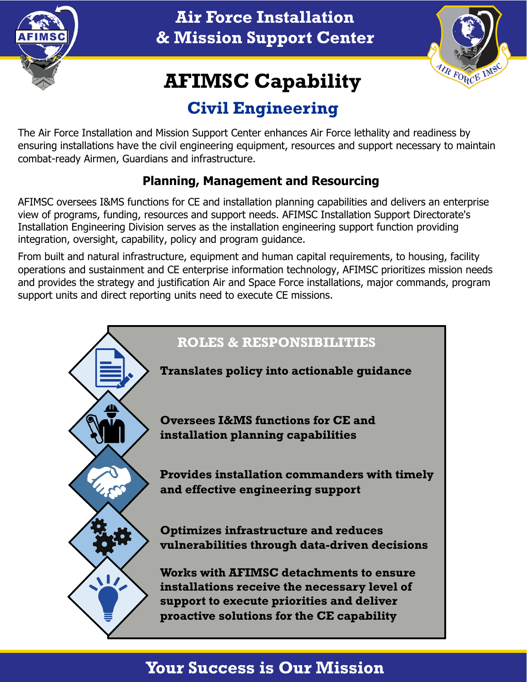

**Air Force Installation & Mission Support Center**



# **AFIMSC Capability**

## **Civil Engineering**

The Air Force Installation and Mission Support Center enhances Air Force lethality and readiness by ensuring installations have the civil engineering equipment, resources and support necessary to maintain combat-ready Airmen, Guardians and infrastructure.

#### **Planning, Management and Resourcing**

AFIMSC oversees I&MS functions for CE and installation planning capabilities and delivers an enterprise view of programs, funding, resources and support needs. AFIMSC Installation Support Directorate's Installation Engineering Division serves as the installation engineering support function providing integration, oversight, capability, policy and program guidance.

From built and natural infrastructure, equipment and human capital requirements, to housing, facility operations and sustainment and CE enterprise information technology, AFIMSC prioritizes mission needs and provides the strategy and justification Air and Space Force installations, major commands, program support units and direct reporting units need to execute CE missions.



### **Your Success is Our Mission**